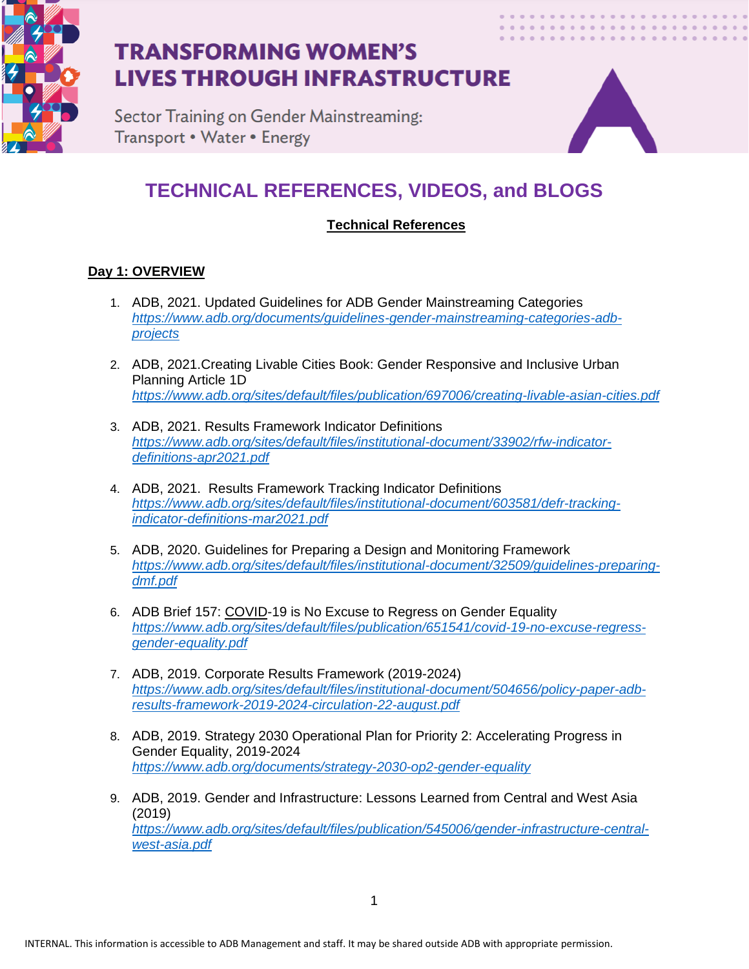

Sector Training on Gender Mainstreaming: Transport • Water • Energy



## **TECHNICAL REFERENCES, VIDEOS, and BLOGS**

### **Technical References**

### **Day 1: OVERVIEW**

- 1. ADB, 2021. Updated Guidelines for ADB Gender Mainstreaming Categories *[https://www.adb.org/documents/guidelines-gender-mainstreaming-categories-adb](https://www.adb.org/documents/guidelines-gender-mainstreaming-categories-adb-projects)[projects](https://www.adb.org/documents/guidelines-gender-mainstreaming-categories-adb-projects)*
- 2. ADB, 2021.Creating Livable Cities Book: Gender Responsive and Inclusive Urban Planning Article 1D *<https://www.adb.org/sites/default/files/publication/697006/creating-livable-asian-cities.pdf>*
- 3. ADB, 2021. Results Framework Indicator Definitions *[https://www.adb.org/sites/default/files/institutional-document/33902/rfw-indicator](https://www.adb.org/sites/default/files/institutional-document/33902/rfw-indicator-definitions-apr2021.pdf)[definitions-apr2021.pdf](https://www.adb.org/sites/default/files/institutional-document/33902/rfw-indicator-definitions-apr2021.pdf)*
- 4. ADB, 2021. Results Framework Tracking Indicator Definitions *[https://www.adb.org/sites/default/files/institutional-document/603581/defr-tracking](https://www.adb.org/sites/default/files/institutional-document/603581/defr-tracking-indicator-definitions-mar2021.pdf)[indicator-definitions-mar2021.pdf](https://www.adb.org/sites/default/files/institutional-document/603581/defr-tracking-indicator-definitions-mar2021.pdf)*
- 5. ADB, 2020. Guidelines for Preparing a Design and Monitoring Framework *[https://www.adb.org/sites/default/files/institutional-document/32509/guidelines-preparing](https://www.adb.org/sites/default/files/institutional-document/32509/guidelines-preparing-dmf.pdf)[dmf.pdf](https://www.adb.org/sites/default/files/institutional-document/32509/guidelines-preparing-dmf.pdf)*
- 6. ADB Brief 157: COVID-19 is No Excuse to Regress on Gender Equality *[https://www.adb.org/sites/default/files/publication/651541/covid-19-no-excuse-regress](https://www.adb.org/sites/default/files/publication/651541/covid-19-no-excuse-regress-gender-equality.pdf)[gender-equality.pdf](https://www.adb.org/sites/default/files/publication/651541/covid-19-no-excuse-regress-gender-equality.pdf)*
- 7. ADB, 2019. Corporate Results Framework (2019-2024) *[https://www.adb.org/sites/default/files/institutional-document/504656/policy-paper-adb](https://www.adb.org/sites/default/files/institutional-document/504656/policy-paper-adb-results-framework-2019-2024-circulation-22-august.pdf)[results-framework-2019-2024-circulation-22-august.pdf](https://www.adb.org/sites/default/files/institutional-document/504656/policy-paper-adb-results-framework-2019-2024-circulation-22-august.pdf)*
- 8. ADB, 2019. Strategy 2030 Operational Plan for Priority 2: Accelerating Progress in Gender Equality, 2019-2024 *<https://www.adb.org/documents/strategy-2030-op2-gender-equality>*
- 9. ADB, 2019. Gender and Infrastructure: Lessons Learned from Central and West Asia (2019) *[https://www.adb.org/sites/default/files/publication/545006/gender-infrastructure-central](https://www.adb.org/sites/default/files/publication/545006/gender-infrastructure-central-west-asia.pdf)[west-asia.pdf](https://www.adb.org/sites/default/files/publication/545006/gender-infrastructure-central-west-asia.pdf)*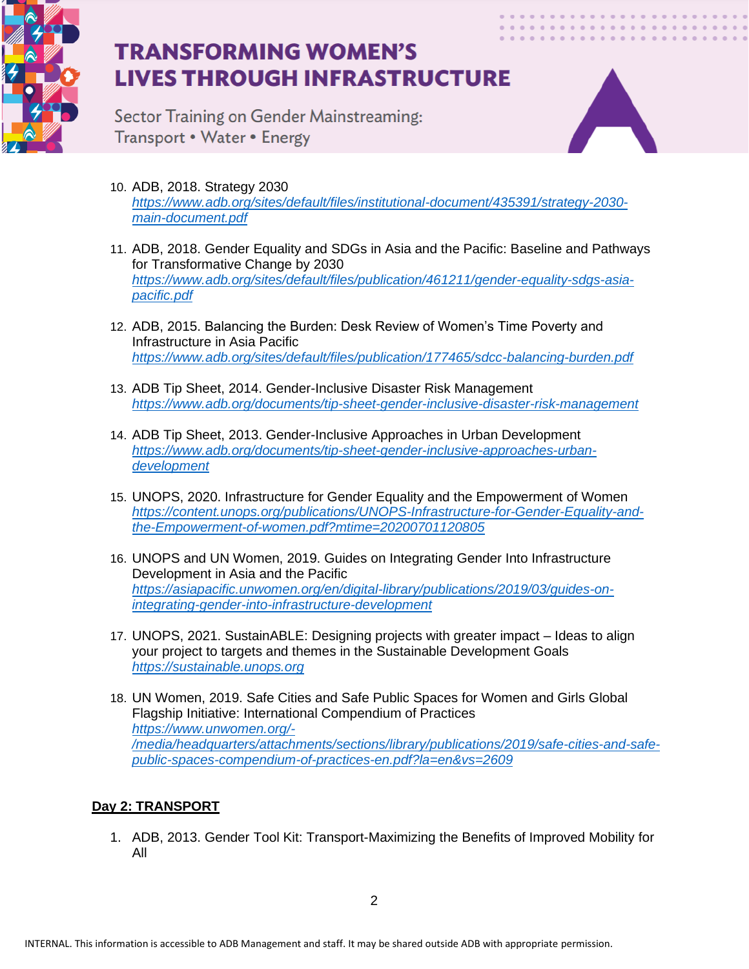

Sector Training on Gender Mainstreaming: Transport • Water • Energy



- 10. ADB, 2018. Strategy 2030 *[https://www.adb.org/sites/default/files/institutional-document/435391/strategy-2030](https://www.adb.org/sites/default/files/institutional-document/435391/strategy-2030-main-document.pdf) [main-document.pdf](https://www.adb.org/sites/default/files/institutional-document/435391/strategy-2030-main-document.pdf)*
- 11. ADB, 2018. Gender Equality and SDGs in Asia and the Pacific: Baseline and Pathways for Transformative Change by 2030 *[https://www.adb.org/sites/default/files/publication/461211/gender-equality-sdgs-asia](https://www.adb.org/sites/default/files/publication/461211/gender-equality-sdgs-asia-pacific.pdf)[pacific.pdf](https://www.adb.org/sites/default/files/publication/461211/gender-equality-sdgs-asia-pacific.pdf)*
- 12. ADB, 2015. Balancing the Burden: Desk Review of Women's Time Poverty and Infrastructure in Asia Pacific *<https://www.adb.org/sites/default/files/publication/177465/sdcc-balancing-burden.pdf>*
- 13. ADB Tip Sheet, 2014. Gender-Inclusive Disaster Risk Management *<https://www.adb.org/documents/tip-sheet-gender-inclusive-disaster-risk-management>*
- 14. ADB Tip Sheet, 2013. Gender-Inclusive Approaches in Urban Development *[https://www.adb.org/documents/tip-sheet-gender-inclusive-approaches-urban](https://www.adb.org/documents/tip-sheet-gender-inclusive-approaches-urban-development)[development](https://www.adb.org/documents/tip-sheet-gender-inclusive-approaches-urban-development)*
- 15. UNOPS, 2020. Infrastructure for Gender Equality and the Empowerment of Women *[https://content.unops.org/publications/UNOPS-Infrastructure-for-Gender-Equality-and](https://content.unops.org/publications/UNOPS-Infrastructure-for-Gender-Equality-and-the-Empowerment-of-women.pdf?mtime=20200701120805)[the-Empowerment-of-women.pdf?mtime=20200701120805](https://content.unops.org/publications/UNOPS-Infrastructure-for-Gender-Equality-and-the-Empowerment-of-women.pdf?mtime=20200701120805)*
- 16. UNOPS and UN Women, 2019. Guides on Integrating Gender Into Infrastructure Development in Asia and the Pacific *[https://asiapacific.unwomen.org/en/digital-library/publications/2019/03/guides-on](https://asiapacific.unwomen.org/en/digital-library/publications/2019/03/guides-on-integrating-gender-into-infrastructure-development)[integrating-gender-into-infrastructure-development](https://asiapacific.unwomen.org/en/digital-library/publications/2019/03/guides-on-integrating-gender-into-infrastructure-development)*
- 17. UNOPS, 2021. SustainABLE: Designing projects with greater impact Ideas to align your project to targets and themes in the Sustainable Development Goals *[https://sustainable.unops.org](https://sustainable.unops.org/)*
- 18. UN Women, 2019. Safe Cities and Safe Public Spaces for Women and Girls Global Flagship Initiative: International Compendium of Practices *[https://www.unwomen.org/-](https://www.unwomen.org/-/media/headquarters/attachments/sections/library/publications/2019/safe-cities-and-safe-public-spaces-compendium-of-practices-en.pdf?la=en&vs=2609) [/media/headquarters/attachments/sections/library/publications/2019/safe-cities-and-safe](https://www.unwomen.org/-/media/headquarters/attachments/sections/library/publications/2019/safe-cities-and-safe-public-spaces-compendium-of-practices-en.pdf?la=en&vs=2609)[public-spaces-compendium-of-practices-en.pdf?la=en&vs=2609](https://www.unwomen.org/-/media/headquarters/attachments/sections/library/publications/2019/safe-cities-and-safe-public-spaces-compendium-of-practices-en.pdf?la=en&vs=2609)*

### **Day 2: TRANSPORT**

1. ADB, 2013. Gender Tool Kit: Transport-Maximizing the Benefits of Improved Mobility for All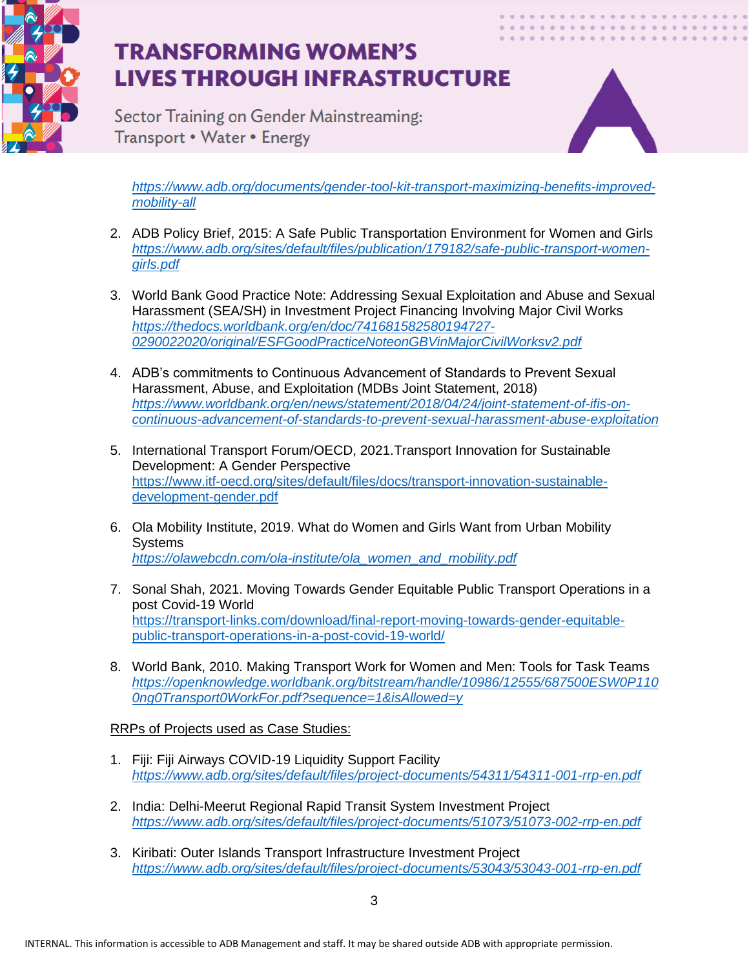

Sector Training on Gender Mainstreaming: Transport • Water • Energy



*[https://www.adb.org/documents/gender-tool-kit-transport-maximizing-benefits-improved](https://www.adb.org/documents/gender-tool-kit-transport-maximizing-benefits-improved-mobility-all)[mobility-all](https://www.adb.org/documents/gender-tool-kit-transport-maximizing-benefits-improved-mobility-all)*

- 2. ADB Policy Brief, 2015: A Safe Public Transportation Environment for Women and Girls *[https://www.adb.org/sites/default/files/publication/179182/safe-public-transport-women](https://www.adb.org/sites/default/files/publication/179182/safe-public-transport-women-girls.pdf)[girls.pdf](https://www.adb.org/sites/default/files/publication/179182/safe-public-transport-women-girls.pdf)*
- 3. World Bank Good Practice Note: Addressing Sexual Exploitation and Abuse and Sexual Harassment (SEA/SH) in Investment Project Financing Involving Major Civil Works *[https://thedocs.worldbank.org/en/doc/741681582580194727-](https://thedocs.worldbank.org/en/doc/741681582580194727-0290022020/original/ESFGoodPracticeNoteonGBVinMajorCivilWorksv2.pdf) [0290022020/original/ESFGoodPracticeNoteonGBVinMajorCivilWorksv2.pdf](https://thedocs.worldbank.org/en/doc/741681582580194727-0290022020/original/ESFGoodPracticeNoteonGBVinMajorCivilWorksv2.pdf)*
- 4. ADB's commitments to Continuous Advancement of Standards to Prevent Sexual Harassment, Abuse, and Exploitation (MDBs Joint Statement, 2018) *[https://www.worldbank.org/en/news/statement/2018/04/24/joint-statement-of-ifis-on](https://www.worldbank.org/en/news/statement/2018/04/24/joint-statement-of-ifis-on-continuous-advancement-of-standards-to-prevent-sexual-harassment-abuse-exploitation)[continuous-advancement-of-standards-to-prevent-sexual-harassment-abuse-exploitation](https://www.worldbank.org/en/news/statement/2018/04/24/joint-statement-of-ifis-on-continuous-advancement-of-standards-to-prevent-sexual-harassment-abuse-exploitation)*
- 5. International Transport Forum/OECD, 2021.Transport Innovation for Sustainable Development: A Gender Perspective [https://www.itf-oecd.org/sites/default/files/docs/transport-innovation-sustainable](https://www.itf-oecd.org/sites/default/files/docs/transport-innovation-sustainable-development-gender.pdf)[development-gender.pdf](https://www.itf-oecd.org/sites/default/files/docs/transport-innovation-sustainable-development-gender.pdf)
- 6. Ola Mobility Institute, 2019. What do Women and Girls Want from Urban Mobility **Systems** *[https://olawebcdn.com/ola-institute/ola\\_women\\_and\\_mobility.pdf](https://olawebcdn.com/ola-institute/ola_women_and_mobility.pdf)*
- 7. Sonal Shah, 2021. Moving Towards Gender Equitable Public Transport Operations in a post Covid-19 World [https://transport-links.com/download/final-report-moving-towards-gender-equitable](https://transport-links.com/download/final-report-moving-towards-gender-equitable-public-transport-operations-in-a-post-covid-19-world/)[public-transport-operations-in-a-post-covid-19-world/](https://transport-links.com/download/final-report-moving-towards-gender-equitable-public-transport-operations-in-a-post-covid-19-world/)
- 8. World Bank, 2010. Making Transport Work for Women and Men: Tools for Task Teams *[https://openknowledge.worldbank.org/bitstream/handle/10986/12555/687500ESW0P110](https://openknowledge.worldbank.org/bitstream/handle/10986/12555/687500ESW0P1100ng0Transport0WorkFor.pdf?sequence=1&isAllowed=y) [0ng0Transport0WorkFor.pdf?sequence=1&isAllowed=y](https://openknowledge.worldbank.org/bitstream/handle/10986/12555/687500ESW0P1100ng0Transport0WorkFor.pdf?sequence=1&isAllowed=y)*

RRPs of Projects used as Case Studies:

- 1. Fiji: Fiji Airways COVID-19 Liquidity Support Facility *<https://www.adb.org/sites/default/files/project-documents/54311/54311-001-rrp-en.pdf>*
- 2. India: Delhi-Meerut Regional Rapid Transit System Investment Project *<https://www.adb.org/sites/default/files/project-documents/51073/51073-002-rrp-en.pdf>*
- 3. Kiribati: Outer Islands Transport Infrastructure Investment Project *<https://www.adb.org/sites/default/files/project-documents/53043/53043-001-rrp-en.pdf>*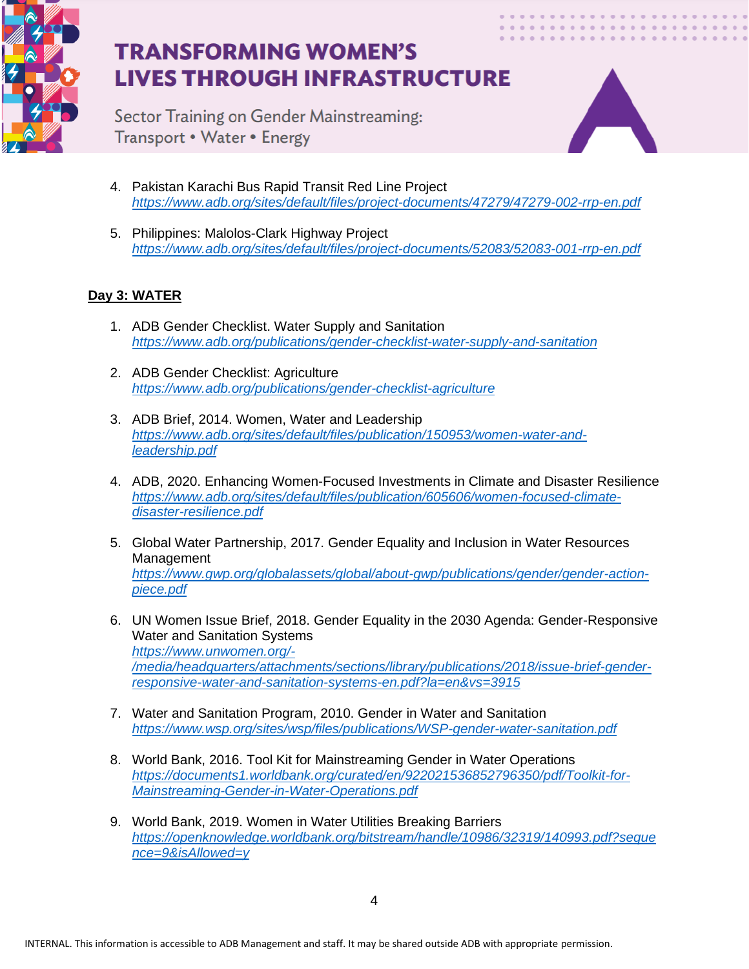

Sector Training on Gender Mainstreaming: Transport • Water • Energy



- 4. Pakistan Karachi Bus Rapid Transit Red Line Project *<https://www.adb.org/sites/default/files/project-documents/47279/47279-002-rrp-en.pdf>*
- 5. Philippines: Malolos-Clark Highway Project *<https://www.adb.org/sites/default/files/project-documents/52083/52083-001-rrp-en.pdf>*

### **Day 3: WATER**

- 1. ADB Gender Checklist. Water Supply and Sanitation *<https://www.adb.org/publications/gender-checklist-water-supply-and-sanitation>*
- 2. ADB Gender Checklist: Agriculture *<https://www.adb.org/publications/gender-checklist-agriculture>*
- 3. ADB Brief, 2014. Women, Water and Leadership *[https://www.adb.org/sites/default/files/publication/150953/women-water-and](https://www.adb.org/sites/default/files/publication/150953/women-water-and-leadership.pdf)[leadership.pdf](https://www.adb.org/sites/default/files/publication/150953/women-water-and-leadership.pdf)*
- 4. ADB, 2020. Enhancing Women-Focused Investments in Climate and Disaster Resilience *[https://www.adb.org/sites/default/files/publication/605606/women-focused-climate](https://www.adb.org/sites/default/files/publication/605606/women-focused-climate-disaster-resilience.pdf)[disaster-resilience.pdf](https://www.adb.org/sites/default/files/publication/605606/women-focused-climate-disaster-resilience.pdf)*
- 5. Global Water Partnership, 2017. Gender Equality and Inclusion in Water Resources Management *[https://www.gwp.org/globalassets/global/about-gwp/publications/gender/gender-action](https://www.gwp.org/globalassets/global/about-gwp/publications/gender/gender-action-piece.pdf)[piece.pdf](https://www.gwp.org/globalassets/global/about-gwp/publications/gender/gender-action-piece.pdf)*
- 6. UN Women Issue Brief, 2018. Gender Equality in the 2030 Agenda: Gender-Responsive Water and Sanitation Systems *[https://www.unwomen.org/-](https://www.unwomen.org/-/media/headquarters/attachments/sections/library/publications/2018/issue-brief-gender-responsive-water-and-sanitation-systems-en.pdf?la=en&vs=3915) [/media/headquarters/attachments/sections/library/publications/2018/issue-brief-gender](https://www.unwomen.org/-/media/headquarters/attachments/sections/library/publications/2018/issue-brief-gender-responsive-water-and-sanitation-systems-en.pdf?la=en&vs=3915)[responsive-water-and-sanitation-systems-en.pdf?la=en&vs=3915](https://www.unwomen.org/-/media/headquarters/attachments/sections/library/publications/2018/issue-brief-gender-responsive-water-and-sanitation-systems-en.pdf?la=en&vs=3915)*
- 7. Water and Sanitation Program, 2010. Gender in Water and Sanitation *<https://www.wsp.org/sites/wsp/files/publications/WSP-gender-water-sanitation.pdf>*
- 8. World Bank, 2016. Tool Kit for Mainstreaming Gender in Water Operations *[https://documents1.worldbank.org/curated/en/922021536852796350/pdf/Toolkit-for-](https://documents1.worldbank.org/curated/en/922021536852796350/pdf/Toolkit-for-Mainstreaming-Gender-in-Water-Operations.pdf)[Mainstreaming-Gender-in-Water-Operations.pdf](https://documents1.worldbank.org/curated/en/922021536852796350/pdf/Toolkit-for-Mainstreaming-Gender-in-Water-Operations.pdf)*
- 9. World Bank, 2019. Women in Water Utilities Breaking Barriers *[https://openknowledge.worldbank.org/bitstream/handle/10986/32319/140993.pdf?seque](https://openknowledge.worldbank.org/bitstream/handle/10986/32319/140993.pdf?sequence=9&isAllowed=y) [nce=9&isAllowed=y](https://openknowledge.worldbank.org/bitstream/handle/10986/32319/140993.pdf?sequence=9&isAllowed=y)*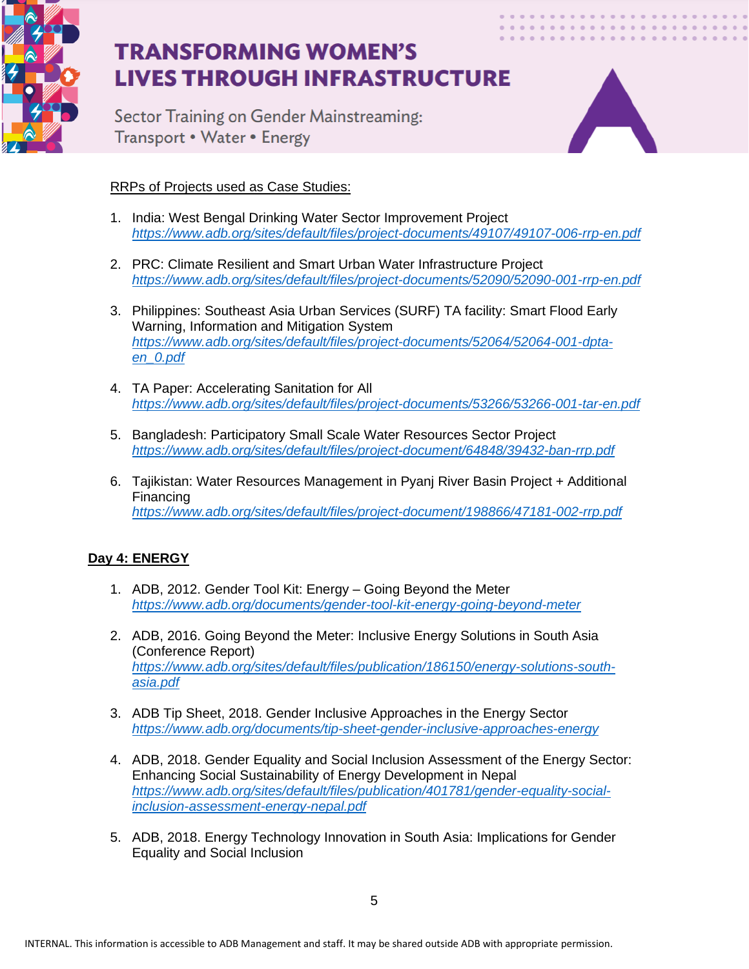

Sector Training on Gender Mainstreaming: Transport • Water • Energy



### RRPs of Projects used as Case Studies:

- 1. India: West Bengal Drinking Water Sector Improvement Project *<https://www.adb.org/sites/default/files/project-documents/49107/49107-006-rrp-en.pdf>*
- 2. PRC: Climate Resilient and Smart Urban Water Infrastructure Project *<https://www.adb.org/sites/default/files/project-documents/52090/52090-001-rrp-en.pdf>*
- 3. Philippines: Southeast Asia Urban Services (SURF) TA facility: Smart Flood Early Warning, Information and Mitigation System *[https://www.adb.org/sites/default/files/project-documents/52064/52064-001-dpta](https://www.adb.org/sites/default/files/project-documents/52064/52064-001-dpta-en_0.pdf)[en\\_0.pdf](https://www.adb.org/sites/default/files/project-documents/52064/52064-001-dpta-en_0.pdf)*
- 4. TA Paper: Accelerating Sanitation for All *<https://www.adb.org/sites/default/files/project-documents/53266/53266-001-tar-en.pdf>*
- 5. Bangladesh: Participatory Small Scale Water Resources Sector Project *<https://www.adb.org/sites/default/files/project-document/64848/39432-ban-rrp.pdf>*
- 6. Tajikistan: Water Resources Management in Pyanj River Basin Project + Additional Financing *<https://www.adb.org/sites/default/files/project-document/198866/47181-002-rrp.pdf>*

### **Day 4: ENERGY**

- 1. ADB, 2012. Gender Tool Kit: Energy Going Beyond the Meter *<https://www.adb.org/documents/gender-tool-kit-energy-going-beyond-meter>*
- 2. ADB, 2016. Going Beyond the Meter: Inclusive Energy Solutions in South Asia (Conference Report) *[https://www.adb.org/sites/default/files/publication/186150/energy-solutions-south](https://www.adb.org/sites/default/files/publication/186150/energy-solutions-south-asia.pdf)[asia.pdf](https://www.adb.org/sites/default/files/publication/186150/energy-solutions-south-asia.pdf)*
- 3. ADB Tip Sheet, 2018. Gender Inclusive Approaches in the Energy Sector *<https://www.adb.org/documents/tip-sheet-gender-inclusive-approaches-energy>*
- 4. ADB, 2018. Gender Equality and Social Inclusion Assessment of the Energy Sector: Enhancing Social Sustainability of Energy Development in Nepal *[https://www.adb.org/sites/default/files/publication/401781/gender-equality-social](https://www.adb.org/sites/default/files/publication/401781/gender-equality-social-inclusion-assessment-energy-nepal.pdf)[inclusion-assessment-energy-nepal.pdf](https://www.adb.org/sites/default/files/publication/401781/gender-equality-social-inclusion-assessment-energy-nepal.pdf)*
- 5. ADB, 2018. Energy Technology Innovation in South Asia: Implications for Gender Equality and Social Inclusion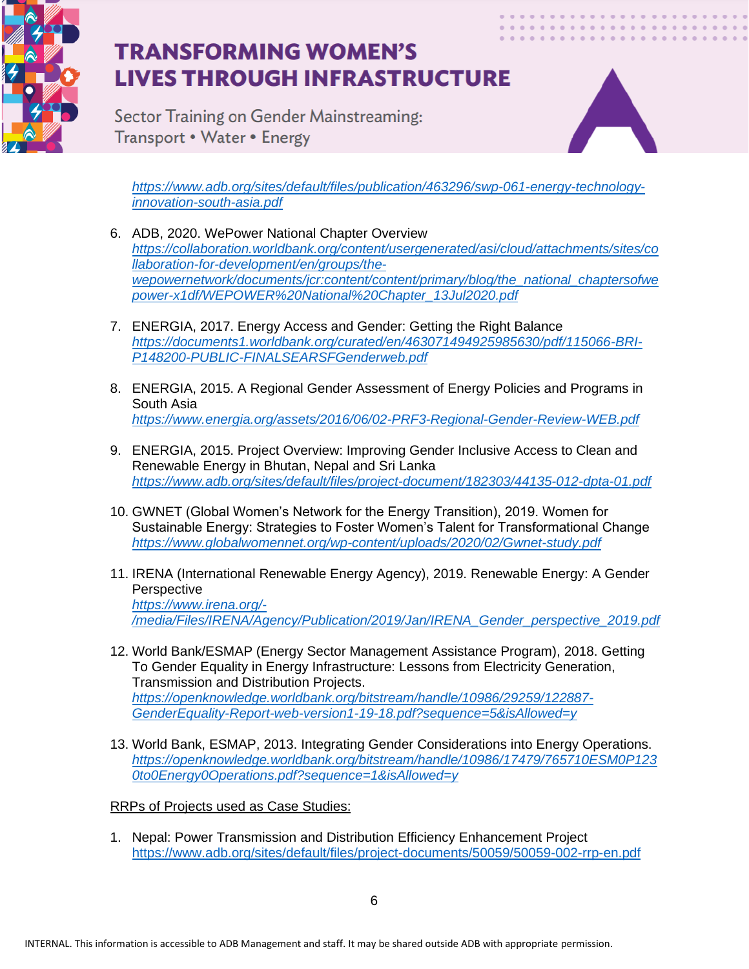

Sector Training on Gender Mainstreaming: Transport • Water • Energy



*[https://www.adb.org/sites/default/files/publication/463296/swp-061-energy-technology](https://www.adb.org/sites/default/files/publication/463296/swp-061-energy-technology-innovation-south-asia.pdf)[innovation-south-asia.pdf](https://www.adb.org/sites/default/files/publication/463296/swp-061-energy-technology-innovation-south-asia.pdf)*

- 6. ADB, 2020. WePower National Chapter Overview *[https://collaboration.worldbank.org/content/usergenerated/asi/cloud/attachments/sites/co](https://collaboration.worldbank.org/content/usergenerated/asi/cloud/attachments/sites/collaboration-for-development/en/groups/the-wepowernetwork/documents/jcr:content/content/primary/blog/the_national_chaptersofwepower-x1df/WEPOWER%20National%20Chapter_13Jul2020.pdf) [llaboration-for-development/en/groups/the](https://collaboration.worldbank.org/content/usergenerated/asi/cloud/attachments/sites/collaboration-for-development/en/groups/the-wepowernetwork/documents/jcr:content/content/primary/blog/the_national_chaptersofwepower-x1df/WEPOWER%20National%20Chapter_13Jul2020.pdf)[wepowernetwork/documents/jcr:content/content/primary/blog/the\\_national\\_chaptersofwe](https://collaboration.worldbank.org/content/usergenerated/asi/cloud/attachments/sites/collaboration-for-development/en/groups/the-wepowernetwork/documents/jcr:content/content/primary/blog/the_national_chaptersofwepower-x1df/WEPOWER%20National%20Chapter_13Jul2020.pdf) [power-x1df/WEPOWER%20National%20Chapter\\_13Jul2020.pdf](https://collaboration.worldbank.org/content/usergenerated/asi/cloud/attachments/sites/collaboration-for-development/en/groups/the-wepowernetwork/documents/jcr:content/content/primary/blog/the_national_chaptersofwepower-x1df/WEPOWER%20National%20Chapter_13Jul2020.pdf)*
- 7. ENERGIA, 2017. Energy Access and Gender: Getting the Right Balance *[https://documents1.worldbank.org/curated/en/463071494925985630/pdf/115066-BRI-](https://documents1.worldbank.org/curated/en/463071494925985630/pdf/115066-BRI-P148200-PUBLIC-FINALSEARSFGenderweb.pdf)[P148200-PUBLIC-FINALSEARSFGenderweb.pdf](https://documents1.worldbank.org/curated/en/463071494925985630/pdf/115066-BRI-P148200-PUBLIC-FINALSEARSFGenderweb.pdf)*
- 8. ENERGIA, 2015. A Regional Gender Assessment of Energy Policies and Programs in South Asia *<https://www.energia.org/assets/2016/06/02-PRF3-Regional-Gender-Review-WEB.pdf>*
- 9. ENERGIA, 2015. Project Overview: Improving Gender Inclusive Access to Clean and Renewable Energy in Bhutan, Nepal and Sri Lanka *<https://www.adb.org/sites/default/files/project-document/182303/44135-012-dpta-01.pdf>*
- 10. GWNET (Global Women's Network for the Energy Transition), 2019. Women for Sustainable Energy: Strategies to Foster Women's Talent for Transformational Change *<https://www.globalwomennet.org/wp-content/uploads/2020/02/Gwnet-study.pdf>*
- 11. IRENA (International Renewable Energy Agency), 2019. Renewable Energy: A Gender **Perspective** *[https://www.irena.org/-](https://www.irena.org/-/media/Files/IRENA/Agency/Publication/2019/Jan/IRENA_Gender_perspective_2019.pdf) [/media/Files/IRENA/Agency/Publication/2019/Jan/IRENA\\_Gender\\_perspective\\_2019.pdf](https://www.irena.org/-/media/Files/IRENA/Agency/Publication/2019/Jan/IRENA_Gender_perspective_2019.pdf)*
- 12. World Bank/ESMAP (Energy Sector Management Assistance Program), 2018. Getting To Gender Equality in Energy Infrastructure: Lessons from Electricity Generation, Transmission and Distribution Projects. *[https://openknowledge.worldbank.org/bitstream/handle/10986/29259/122887-](https://openknowledge.worldbank.org/bitstream/handle/10986/29259/122887-GenderEquality-Report-web-version1-19-18.pdf?sequence=5&isAllowed=y) [GenderEquality-Report-web-version1-19-18.pdf?sequence=5&isAllowed=y](https://openknowledge.worldbank.org/bitstream/handle/10986/29259/122887-GenderEquality-Report-web-version1-19-18.pdf?sequence=5&isAllowed=y)*
- 13. World Bank, ESMAP, 2013. Integrating Gender Considerations into Energy Operations. *[https://openknowledge.worldbank.org/bitstream/handle/10986/17479/765710ESM0P123](https://openknowledge.worldbank.org/bitstream/handle/10986/17479/765710ESM0P1230to0Energy0Operations.pdf?sequence=1&isAllowed=y) [0to0Energy0Operations.pdf?sequence=1&isAllowed=y](https://openknowledge.worldbank.org/bitstream/handle/10986/17479/765710ESM0P1230to0Energy0Operations.pdf?sequence=1&isAllowed=y)*

RRPs of Projects used as Case Studies:

1. Nepal: Power Transmission and Distribution Efficiency Enhancement Project <https://www.adb.org/sites/default/files/project-documents/50059/50059-002-rrp-en.pdf>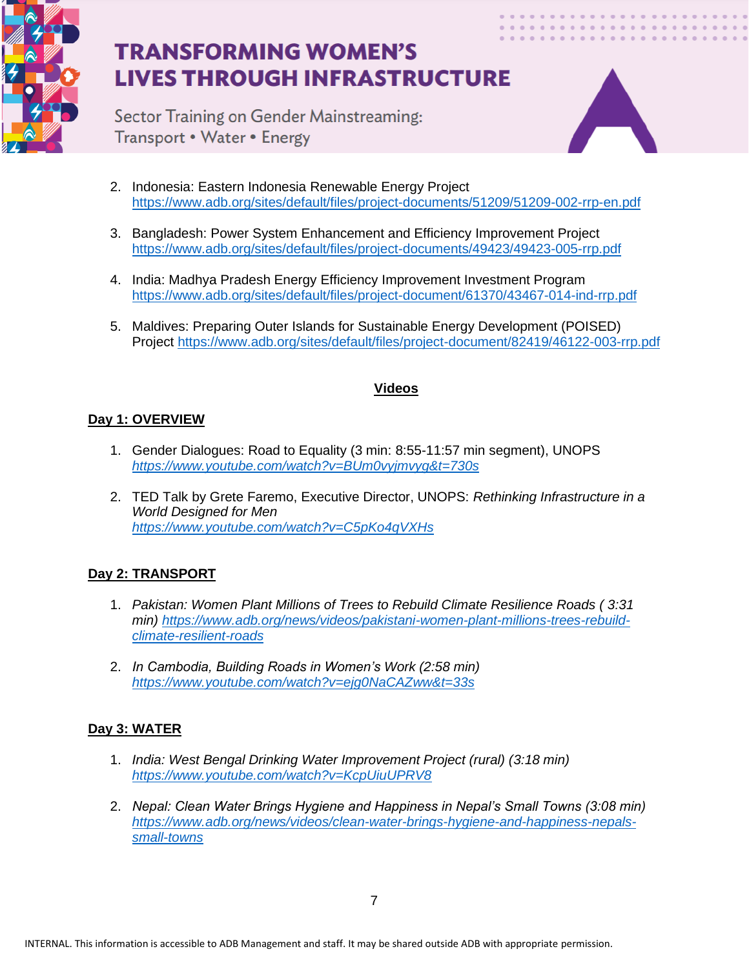

Sector Training on Gender Mainstreaming: Transport • Water • Energy



- 2. Indonesia: Eastern Indonesia Renewable Energy Project <https://www.adb.org/sites/default/files/project-documents/51209/51209-002-rrp-en.pdf>
- 3. Bangladesh: Power System Enhancement and Efficiency Improvement Project <https://www.adb.org/sites/default/files/project-documents/49423/49423-005-rrp.pdf>
- 4. India: Madhya Pradesh Energy Efficiency Improvement Investment Program <https://www.adb.org/sites/default/files/project-document/61370/43467-014-ind-rrp.pdf>
- 5. Maldives: Preparing Outer Islands for Sustainable Energy Development (POISED) Project <https://www.adb.org/sites/default/files/project-document/82419/46122-003-rrp.pdf>

#### **Videos**

### **Day 1: OVERVIEW**

- 1. Gender Dialogues: Road to Equality (3 min: 8:55-11:57 min segment), UNOPS *<https://www.youtube.com/watch?v=BUm0vyjmvyg&t=730s>*
- 2. TED Talk by Grete Faremo, Executive Director, UNOPS: *Rethinking Infrastructure in a World Designed for Men <https://www.youtube.com/watch?v=C5pKo4qVXHs>*

### **Day 2: TRANSPORT**

- 1. *Pakistan: Women Plant Millions of Trees to Rebuild Climate Resilience Roads ( 3:31 min) [https://www.adb.org/news/videos/pakistani-women-plant-millions-trees-rebuild](https://www.adb.org/news/videos/pakistani-women-plant-millions-trees-rebuild-climate-resilient-roads)[climate-resilient-roads](https://www.adb.org/news/videos/pakistani-women-plant-millions-trees-rebuild-climate-resilient-roads)*
- 2. *In Cambodia, Building Roads in Women's Work (2:58 min) <https://www.youtube.com/watch?v=ejg0NaCAZww&t=33s>*

### **Day 3: WATER**

- 1. *India: West Bengal Drinking Water Improvement Project (rural) (3:18 min) <https://www.youtube.com/watch?v=KcpUiuUPRV8>*
- 2. *Nepal: Clean Water Brings Hygiene and Happiness in Nepal's Small Towns (3:08 min) [https://www.adb.org/news/videos/clean-water-brings-hygiene-and-happiness-nepals](https://www.adb.org/news/videos/clean-water-brings-hygiene-and-happiness-nepals-small-towns)[small-towns](https://www.adb.org/news/videos/clean-water-brings-hygiene-and-happiness-nepals-small-towns)*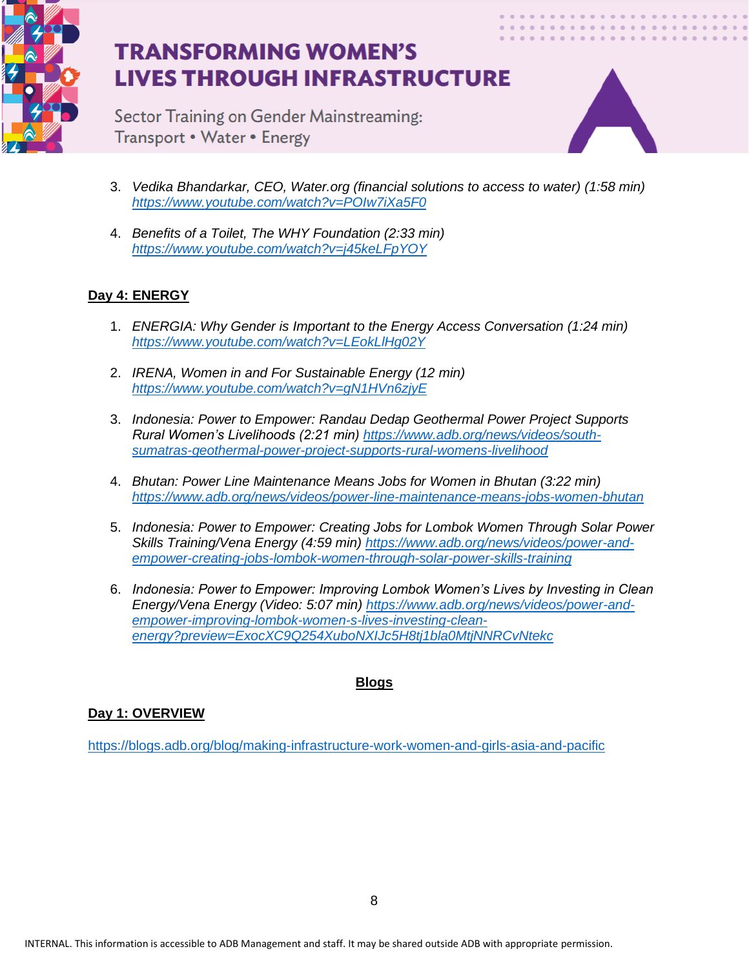

Sector Training on Gender Mainstreaming: Transport • Water • Energy



- 3. *Vedika Bhandarkar, CEO, Water.org (financial solutions to access to water) (1:58 min) <https://www.youtube.com/watch?v=POIw7iXa5F0>*
- 4. *Benefits of a Toilet, The WHY Foundation (2:33 min) <https://www.youtube.com/watch?v=j45keLFpYOY>*

## **Day 4: ENERGY**

- 1. *ENERGIA: Why Gender is Important to the Energy Access Conversation (1:24 min) <https://www.youtube.com/watch?v=LEokLlHg02Y>*
- 2. *IRENA, Women in and For Sustainable Energy (12 min) <https://www.youtube.com/watch?v=gN1HVn6zjyE>*
- 3. *Indonesia: Power to Empower: Randau Dedap Geothermal Power Project Supports Rural Women's Livelihoods (2:21 min) [https://www.adb.org/news/videos/south](https://www.adb.org/news/videos/south-sumatras-geothermal-power-project-supports-rural-womens-livelihood)[sumatras-geothermal-power-project-supports-rural-womens-livelihood](https://www.adb.org/news/videos/south-sumatras-geothermal-power-project-supports-rural-womens-livelihood)*
- 4. *Bhutan: Power Line Maintenance Means Jobs for Women in Bhutan (3:22 min) <https://www.adb.org/news/videos/power-line-maintenance-means-jobs-women-bhutan>*
- 5. *Indonesia: Power to Empower: Creating Jobs for Lombok Women Through Solar Power Skills Training/Vena Energy (4:59 min) [https://www.adb.org/news/videos/power-and](https://www.adb.org/news/videos/power-and-empower-creating-jobs-lombok-women-through-solar-power-skills-training)[empower-creating-jobs-lombok-women-through-solar-power-skills-training](https://www.adb.org/news/videos/power-and-empower-creating-jobs-lombok-women-through-solar-power-skills-training)*
- 6. *Indonesia: Power to Empower: Improving Lombok Women's Lives by Investing in Clean Energy/Vena Energy (Video: 5:07 min) [https://www.adb.org/news/videos/power-and](https://www.adb.org/news/videos/power-and-empower-improving-lombok-women-s-lives-investing-clean-energy?preview=ExocXC9Q254XuboNXIJc5H8tj1bla0MtjNNRCvNtekc)[empower-improving-lombok-women-s-lives-investing-clean](https://www.adb.org/news/videos/power-and-empower-improving-lombok-women-s-lives-investing-clean-energy?preview=ExocXC9Q254XuboNXIJc5H8tj1bla0MtjNNRCvNtekc)[energy?preview=ExocXC9Q254XuboNXIJc5H8tj1bla0MtjNNRCvNtekc](https://www.adb.org/news/videos/power-and-empower-improving-lombok-women-s-lives-investing-clean-energy?preview=ExocXC9Q254XuboNXIJc5H8tj1bla0MtjNNRCvNtekc)*

## **Blogs**

### **Day 1: OVERVIEW**

<https://blogs.adb.org/blog/making-infrastructure-work-women-and-girls-asia-and-pacific>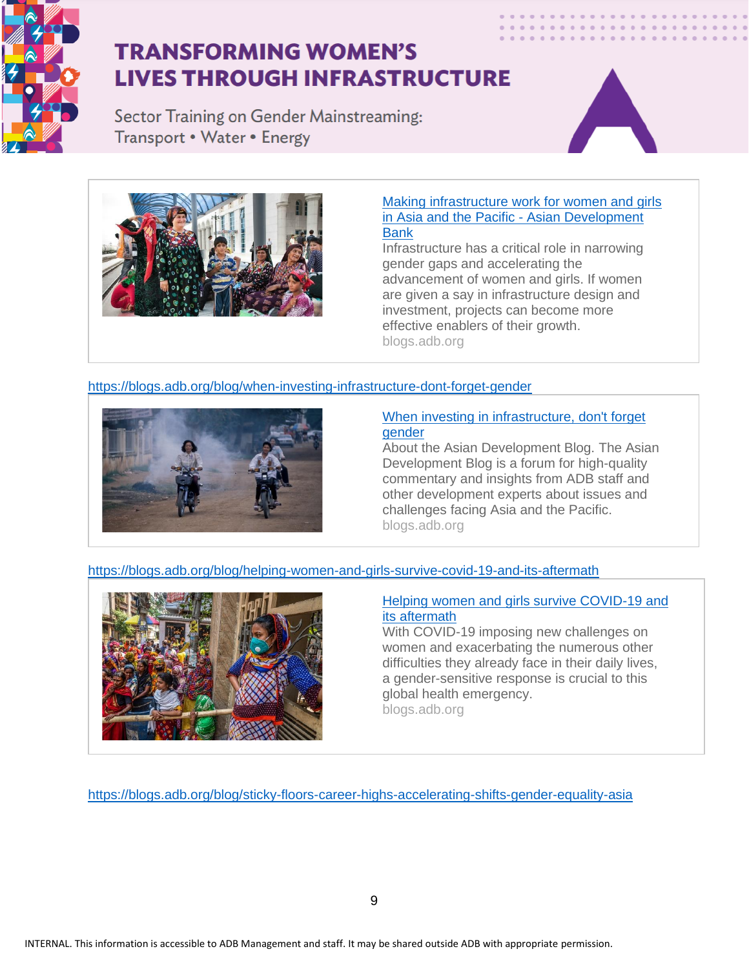

Sector Training on Gender Mainstreaming: Transport • Water • Energy





#### Making [infrastructure](https://blogs.adb.org/blog/making-infrastructure-work-women-and-girls-asia-and-pacific) work for women and girls in Asia and the Pacific - Asian [Development](https://blogs.adb.org/blog/making-infrastructure-work-women-and-girls-asia-and-pacific) [Bank](https://blogs.adb.org/blog/making-infrastructure-work-women-and-girls-asia-and-pacific)

Infrastructure has a critical role in narrowing gender gaps and accelerating the advancement of women and girls. If women are given a say in infrastructure design and investment, projects can become more effective enablers of their growth. blogs.adb.org

### <https://blogs.adb.org/blog/when-investing-infrastructure-dont-forget-gender>



#### When investing in [infrastructure,](https://blogs.adb.org/blog/when-investing-infrastructure-dont-forget-gender) don't forget [gender](https://blogs.adb.org/blog/when-investing-infrastructure-dont-forget-gender)

About the Asian Development Blog. The Asian Development Blog is a forum for high-quality commentary and insights from ADB staff and other development experts about issues and challenges facing Asia and the Pacific. blogs.adb.org

<https://blogs.adb.org/blog/helping-women-and-girls-survive-covid-19-and-its-aftermath>



#### Helping women and girls survive [COVID-19](https://blogs.adb.org/blog/helping-women-and-girls-survive-covid-19-and-its-aftermath) and its [aftermath](https://blogs.adb.org/blog/helping-women-and-girls-survive-covid-19-and-its-aftermath)

With COVID-19 imposing new challenges on women and exacerbating the numerous other difficulties they already face in their daily lives, a gender-sensitive response is crucial to this global health emergency. blogs.adb.org

<https://blogs.adb.org/blog/sticky-floors-career-highs-accelerating-shifts-gender-equality-asia>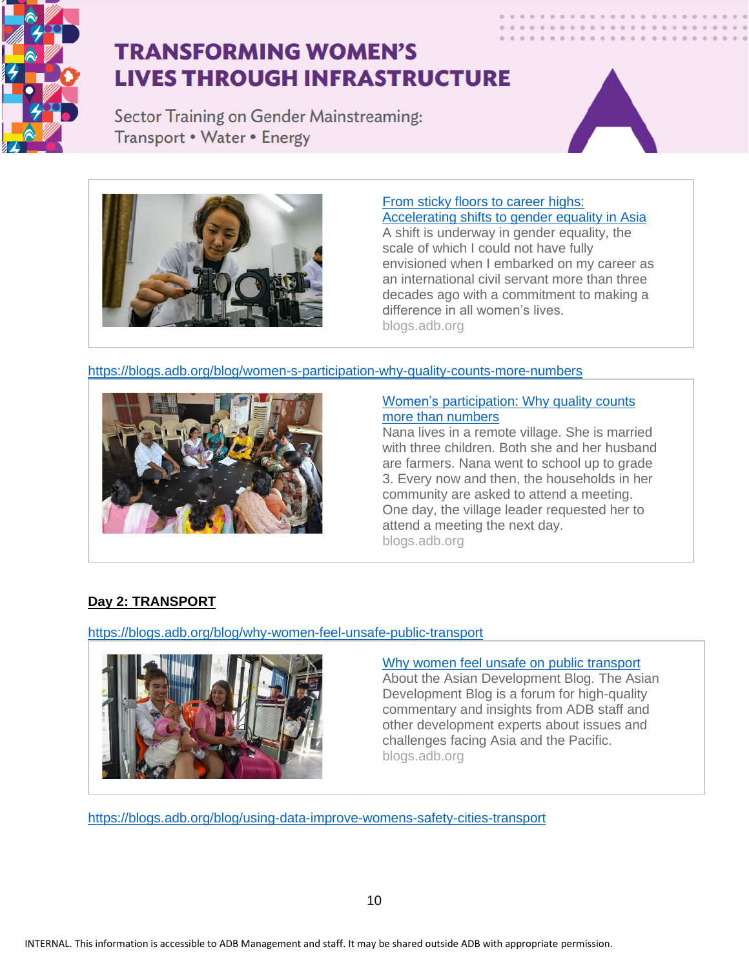

Sector Training on Gender Mainstreaming: Transport • Water • Energy





#### From sticky floors to [career](https://blogs.adb.org/blog/sticky-floors-career-highs-accelerating-shifts-gender-equality-asia) highs: [Accelerating](https://blogs.adb.org/blog/sticky-floors-career-highs-accelerating-shifts-gender-equality-asia) shifts to gender equality in Asia

A shift is underway in gender equality, the scale of which I could not have fully envisioned when I embarked on my career as an international civil servant more than three decades ago with a commitment to making a difference in all women's lives. blogs.adb.org

#### <https://blogs.adb.org/blog/women-s-participation-why-quality-counts-more-numbers>



#### Women's [participation:](https://blogs.adb.org/blog/women-s-participation-why-quality-counts-more-numbers) Why quality counts more than [numbers](https://blogs.adb.org/blog/women-s-participation-why-quality-counts-more-numbers)

Nana lives in a remote village. She is married with three children. Both she and her husband are farmers. Nana went to school up to grade 3. Every now and then, the households in her community are asked to attend a meeting. One day, the village leader requested her to attend a meeting the next day. blogs.adb.org

### **Day 2: TRANSPORT**

<https://blogs.adb.org/blog/why-women-feel-unsafe-public-transport>



#### Why women feel unsafe on public [transport](https://blogs.adb.org/blog/why-women-feel-unsafe-public-transport)

About the Asian Development Blog. The Asian Development Blog is a forum for high-quality commentary and insights from ADB staff and other development experts about issues and challenges facing Asia and the Pacific. blogs.adb.org

<https://blogs.adb.org/blog/using-data-improve-womens-safety-cities-transport>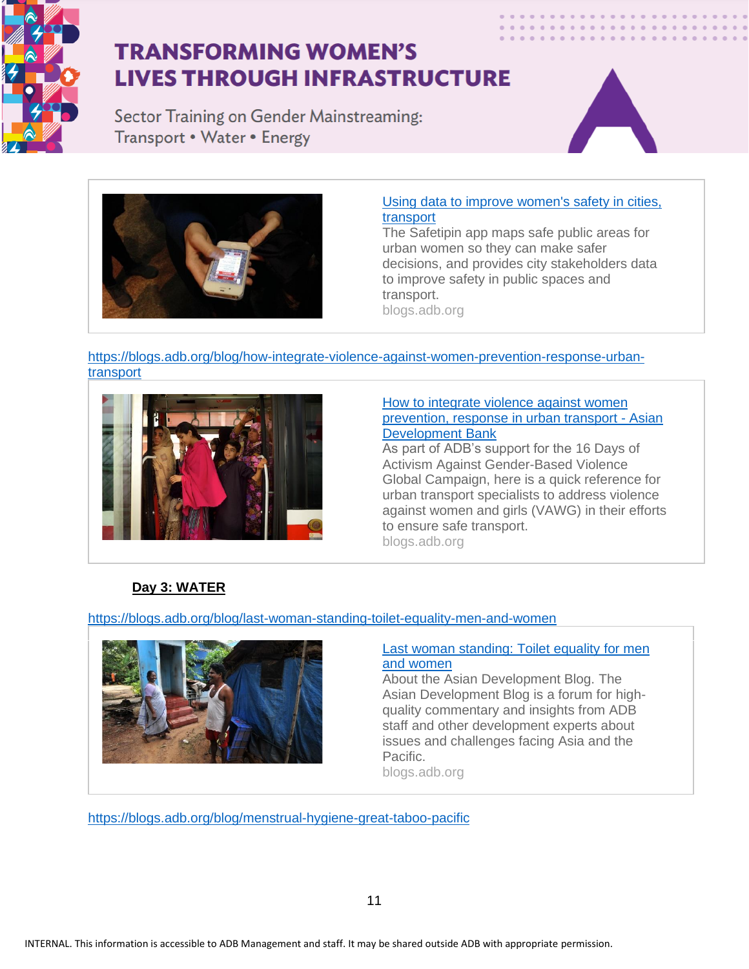

Sector Training on Gender Mainstreaming: Transport • Water • Energy





#### Using data to improve [women's](https://blogs.adb.org/blog/using-data-improve-womens-safety-cities-transport) safety in cities, [transport](https://blogs.adb.org/blog/using-data-improve-womens-safety-cities-transport)

The Safetipin app maps safe public areas for urban women so they can make safer decisions, and provides city stakeholders data to improve safety in public spaces and transport. blogs.adb.org

#### [https://blogs.adb.org/blog/how-integrate-violence-against-women-prevention-response-urban](https://blogs.adb.org/blog/how-integrate-violence-against-women-prevention-response-urban-transport)[transport](https://blogs.adb.org/blog/how-integrate-violence-against-women-prevention-response-urban-transport)



#### How to [integrate](https://blogs.adb.org/blog/how-integrate-violence-against-women-prevention-response-urban-transport) violence against women [prevention,](https://blogs.adb.org/blog/how-integrate-violence-against-women-prevention-response-urban-transport) response in urban transport - Asian [Development](https://blogs.adb.org/blog/how-integrate-violence-against-women-prevention-response-urban-transport) Bank

As part of ADB's support for the 16 Days of Activism Against Gender-Based Violence Global Campaign, here is a quick reference for urban transport specialists to address violence against women and girls (VAWG) in their efforts to ensure safe transport. blogs.adb.org

## **Day 3: WATER**

<https://blogs.adb.org/blog/last-woman-standing-toilet-equality-men-and-women>



#### Last woman [standing:](https://blogs.adb.org/blog/last-woman-standing-toilet-equality-men-and-women) Toilet equality for men and [women](https://blogs.adb.org/blog/last-woman-standing-toilet-equality-men-and-women)

About the Asian Development Blog. The Asian Development Blog is a forum for highquality commentary and insights from ADB staff and other development experts about issues and challenges facing Asia and the Pacific.

blogs.adb.org

<https://blogs.adb.org/blog/menstrual-hygiene-great-taboo-pacific>